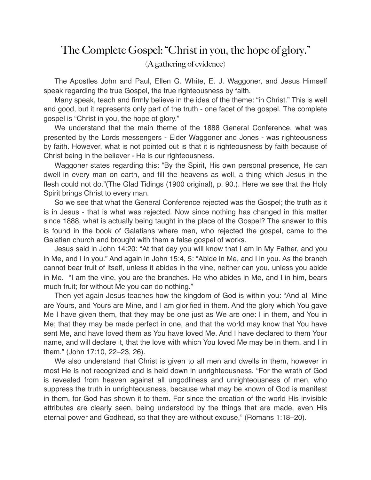## The Complete Gospel: "Christ in you, the hope of glory." (A gathering of evidence)

The Apostles John and Paul, Ellen G. White, E. J. Waggoner, and Jesus Himself speak regarding the true Gospel, the true righteousness by faith.

Many speak, teach and firmly believe in the idea of the theme: "in Christ." This is well and good, but it represents only part of the truth - one facet of the gospel. The complete gospel is "Christ in you, the hope of glory."

We understand that the main theme of the 1888 General Conference, what was presented by the Lords messengers - Elder Waggoner and Jones - was righteousness by faith. However, what is not pointed out is that it is righteousness by faith because of Christ being in the believer - He is our righteousness.

Waggoner states regarding this: "By the Spirit, His own personal presence, He can dwell in every man on earth, and fill the heavens as well, a thing which Jesus in the flesh could not do."(The Glad Tidings (1900 original), p. 90.). Here we see that the Holy Spirit brings Christ to every man.

So we see that what the General Conference rejected was the Gospel; the truth as it is in Jesus - that is what was rejected. Now since nothing has changed in this matter since 1888, what is actually being taught in the place of the Gospel? The answer to this is found in the book of Galatians where men, who rejected the gospel, came to the Galatian church and brought with them a false gospel of works.

Jesus said in John 14:20: "At that day you will know that I am in My Father, and you in Me, and I in you." And again in John 15:4, 5: "Abide in Me, and I in you. As the branch cannot bear fruit of itself, unless it abides in the vine, neither can you, unless you abide in Me. "I am the vine, you are the branches. He who abides in Me, and I in him, bears much fruit; for without Me you can do nothing."

Then yet again Jesus teaches how the kingdom of God is within you: "And all Mine are Yours, and Yours are Mine, and I am glorified in them. And the glory which You gave Me I have given them, that they may be one just as We are one: I in them, and You in Me; that they may be made perfect in one, and that the world may know that You have sent Me, and have loved them as You have loved Me. And I have declared to them Your name, and will declare it, that the love with which You loved Me may be in them, and I in them." (John 17:10, 22–23, 26).

We also understand that Christ is given to all men and dwells in them, however in most He is not recognized and is held down in unrighteousness. "For the wrath of God is revealed from heaven against all ungodliness and unrighteousness of men, who suppress the truth in unrighteousness, because what may be known of God is manifest in them, for God has shown it to them. For since the creation of the world His invisible attributes are clearly seen, being understood by the things that are made, even His eternal power and Godhead, so that they are without excuse," (Romans 1:18–20).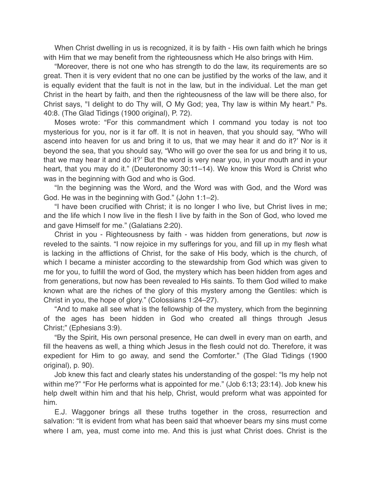When Christ dwelling in us is recognized, it is by faith - His own faith which he brings with Him that we may benefit from the righteousness which He also brings with Him.

"Moreover, there is not one who has strength to do the law, its requirements are so great. Then it is very evident that no one can be justified by the works of the law, and it is equally evident that the fault is not in the law, but in the individual. Let the man get Christ in the heart by faith, and then the righteousness of the law will be there also, for Christ says, "I delight to do Thy will, O My God; yea, Thy law is within My heart." Ps. 40:8. (The Glad Tidings (1900 original), P. 72).

Moses wrote: "For this commandment which I command you today is not too mysterious for you, nor is it far off. It is not in heaven, that you should say, "Who will ascend into heaven for us and bring it to us, that we may hear it and do it?' Nor is it beyond the sea, that you should say, "Who will go over the sea for us and bring it to us, that we may hear it and do it?' But the word is very near you, in your mouth and in your heart, that you may do it." (Deuteronomy 30:11–14). We know this Word is Christ who was in the beginning with God and who is God.

"In the beginning was the Word, and the Word was with God, and the Word was God. He was in the beginning with God." (John 1:1–2).

"I have been crucified with Christ; it is no longer I who live, but Christ lives in me; and the life which I now live in the flesh I live by faith in the Son of God, who loved me and gave Himself for me." (Galatians 2:20).

Christ in you - Righteousness by faith - was hidden from generations, but *now* is reveled to the saints. "I now rejoice in my sufferings for you, and fill up in my flesh what is lacking in the afflictions of Christ, for the sake of His body, which is the church, of which I became a minister according to the stewardship from God which was given to me for you, to fulfill the word of God, the mystery which has been hidden from ages and from generations, but now has been revealed to His saints. To them God willed to make known what are the riches of the glory of this mystery among the Gentiles: which is Christ in you, the hope of glory." (Colossians 1:24–27).

"And to make all see what is the fellowship of the mystery, which from the beginning of the ages has been hidden in God who created all things through Jesus Christ;" (Ephesians 3:9).

"By the Spirit, His own personal presence, He can dwell in every man on earth, and fill the heavens as well, a thing which Jesus in the flesh could not do. Therefore, it was expedient for Him to go away, and send the Comforter." (The Glad Tidings (1900 original), p. 90).

Job knew this fact and clearly states his understanding of the gospel: "Is my help not within me?" "For He performs what is appointed for me." (Job 6:13; 23:14). Job knew his help dwelt within him and that his help, Christ, would preform what was appointed for him.

E.J. Waggoner brings all these truths together in the cross, resurrection and salvation: "It is evident from what has been said that whoever bears my sins must come where I am, yea, must come into me. And this is just what Christ does. Christ is the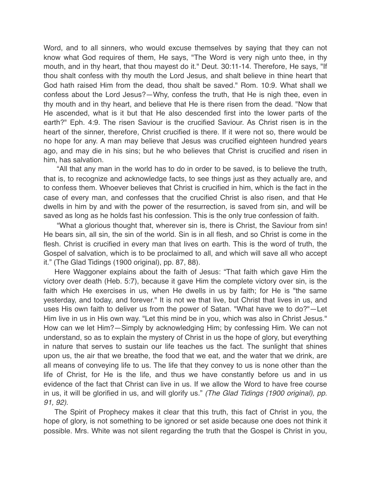Word, and to all sinners, who would excuse themselves by saying that they can not know what God requires of them, He says, "The Word is very nigh unto thee, in thy mouth, and in thy heart, that thou mayest do it." Deut. 30:11-14. Therefore, He says, "If thou shalt confess with thy mouth the Lord Jesus, and shalt believe in thine heart that God hath raised Him from the dead, thou shalt be saved." Rom. 10:9. What shall we confess about the Lord Jesus?—Why, confess the truth, that He is nigh thee, even in thy mouth and in thy heart, and believe that He is there risen from the dead. "Now that He ascended, what is it but that He also descended first into the lower parts of the earth?" Eph. 4:9. The risen Saviour is the crucified Saviour. As Christ risen is in the heart of the sinner, therefore, Christ crucified is there. If it were not so, there would be no hope for any. A man may believe that Jesus was crucified eighteen hundred years ago, and may die in his sins; but he who believes that Christ is crucified and risen in him, has salvation.

"All that any man in the world has to do in order to be saved, is to believe the truth, that is, to recognize and acknowledge facts, to see things just as they actually are, and to confess them. Whoever believes that Christ is crucified in him, which is the fact in the case of every man, and confesses that the crucified Christ is also risen, and that He dwells in him by and with the power of the resurrection, is saved from sin, and will be saved as long as he holds fast his confession. This is the only true confession of faith.

"What a glorious thought that, wherever sin is, there is Christ, the Saviour from sin! He bears sin, all sin, the sin of the world. Sin is in all flesh, and so Christ is come in the flesh. Christ is crucified in every man that lives on earth. This is the word of truth, the Gospel of salvation, which is to be proclaimed to all, and which will save all who accept it." (The Glad Tidings (1900 original), pp. 87, 88).

Here Waggoner explains about the faith of Jesus: "That faith which gave Him the victory over death (Heb. 5:7), because it gave Him the complete victory over sin, is the faith which He exercises in us, when He dwells in us by faith; for He is "the same yesterday, and today, and forever." It is not we that live, but Christ that lives in us, and uses His own faith to deliver us from the power of Satan. "What have we to do?"—Let Him live in us in His own way. "Let this mind be in you, which was also in Christ Jesus." How can we let Him?—Simply by acknowledging Him; by confessing Him. We can not understand, so as to explain the mystery of Christ in us the hope of glory, but everything in nature that serves to sustain our life teaches us the fact. The sunlight that shines upon us, the air that we breathe, the food that we eat, and the water that we drink, are all means of conveying life to us. The life that they convey to us is none other than the life of Christ, for He is the life, and thus we have constantly before us and in us evidence of the fact that Christ can live in us. If we allow the Word to have free course in us, it will be glorified in us, and will glorify us." *(The Glad Tidings (1900 original), pp. 91, 92).*

The Spirit of Prophecy makes it clear that this truth, this fact of Christ in you, the hope of glory, is not something to be ignored or set aside because one does not think it possible. Mrs. White was not silent regarding the truth that the Gospel is Christ in you,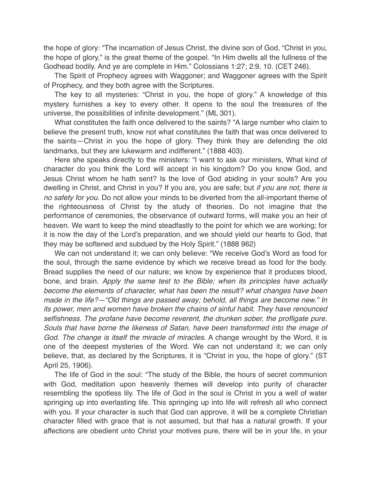the hope of glory: "The incarnation of Jesus Christ, the divine son of God, "Christ in you, the hope of glory," is the great theme of the gospel. "In Him dwells all the fullness of the Godhead bodily. And ye are complete in Him." Colossians 1:27; 2:9, 10. (CET 246).

The Spirit of Prophecy agrees with Waggoner; and Waggoner agrees with the Spirit of Prophecy, and they both agree with the Scriptures.

The key to all mysteries: "Christ in you, the hope of glory." A knowledge of this mystery furnishes a key to every other. It opens to the soul the treasures of the universe, the possibilities of infinite development." (ML 301).

What constitutes the faith once delivered to the saints? "A large number who claim to believe the present truth, know not what constitutes the faith that was once delivered to the saints—Christ in you the hope of glory. They think they are defending the old landmarks, but they are lukewarm and indifferent." (1888 403).

Here she speaks directly to the ministers: "I want to ask our ministers, What kind of character do you think the Lord will accept in his kingdom? Do you know God, and Jesus Christ whom he hath sent? Is the love of God abiding in your souls? Are you dwelling in Christ, and Christ in you? If you are, you are safe; but *if you are not, there is no safety for you*. Do not allow your minds to be diverted from the all-important theme of the righteousness of Christ by the study of theories. Do not imagine that the performance of ceremonies, the observance of outward forms, will make you an heir of heaven. We want to keep the mind steadfastly to the point for which we are working; for it is now the day of the Lord's preparation, and we should yield our hearts to God, that they may be softened and subdued by the Holy Spirit." (1888 962)

We can not understand it; we can only believe: "We receive God's Word as food for the soul, through the same evidence by which we receive bread as food for the body. Bread supplies the need of our nature; we know by experience that it produces blood, bone, and brain. *Apply the same test to the Bible; when its principles have actually become the elements of character, what has been the result? what changes have been made in the life?—"Old things are passed away; behold, all things are become new." In its power, men and women have broken the chains of sinful habit. They have renounced selfishness. The profane have become reverent, the drunken sober, the profligate pure. Souls that have borne the likeness of Satan, have been transformed into the image of God. The change is itself the miracle of miracles.* A change wrought by the Word, it is one of the deepest mysteries of the Word. We can not understand it; we can only believe, that, as declared by the Scriptures, it is "Christ in you, the hope of glory." (ST April 25, 1906).

The life of God in the soul: "The study of the Bible, the hours of secret communion with God, meditation upon heavenly themes will develop into purity of character resembling the spotless lily. The life of God in the soul is Christ in you a well of water springing up into everlasting life. This springing up into life will refresh all who connect with you. If your character is such that God can approve, it will be a complete Christian character filled with grace that is not assumed, but that has a natural growth. If your affections are obedient unto Christ your motives pure, there will be in your life, in your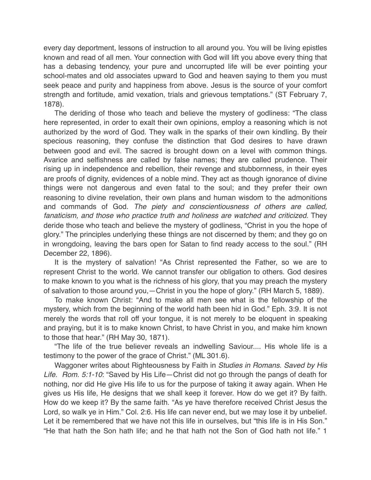every day deportment, lessons of instruction to all around you. You will be living epistles known and read of all men. Your connection with God will lift you above every thing that has a debasing tendency, your pure and uncorrupted life will be ever pointing your school-mates and old associates upward to God and heaven saying to them you must seek peace and purity and happiness from above. Jesus is the source of your comfort strength and fortitude, amid vexation, trials and grievous temptations." (ST February 7, 1878).

The deriding of those who teach and believe the mystery of godliness: "The class here represented, in order to exalt their own opinions, employ a reasoning which is not authorized by the word of God. They walk in the sparks of their own kindling. By their specious reasoning, they confuse the distinction that God desires to have drawn between good and evil. The sacred is brought down on a level with common things. Avarice and selfishness are called by false names; they are called prudence. Their rising up in independence and rebellion, their revenge and stubbornness, in their eyes are proofs of dignity, evidences of a noble mind. They act as though ignorance of divine things were not dangerous and even fatal to the soul; and they prefer their own reasoning to divine revelation, their own plans and human wisdom to the admonitions and commands of God. *The piety and conscientiousness of others are called,*  fanaticism, and those who practice truth and holiness are watched and criticized. They deride those who teach and believe the mystery of godliness, "Christ in you the hope of glory." The principles underlying these things are not discerned by them; and they go on in wrongdoing, leaving the bars open for Satan to find ready access to the soul." (RH December 22, 1896).

It is the mystery of salvation! "As Christ represented the Father, so we are to represent Christ to the world. We cannot transfer our obligation to others. God desires to make known to you what is the richness of his glory, that you may preach the mystery of salvation to those around you,—Christ in you the hope of glory." (RH March 5, 1889).

To make known Christ: "And to make all men see what is the fellowship of the mystery, which from the beginning of the world hath been hid in God." Eph. 3:9. It is not merely the words that roll off your tongue, it is not merely to be eloquent in speaking and praying, but it is to make known Christ, to have Christ in you, and make him known to those that hear." (RH May 30, 1871).

"The life of the true believer reveals an indwelling Saviour.... His whole life is a testimony to the power of the grace of Christ." (ML 301.6).

Waggoner writes about Righteousness by Faith in *Studies in Romans. Saved by His Life. Rom. 5:1-10*: "Saved by His Life—Christ did not go through the pangs of death for nothing, nor did He give His life to us for the purpose of taking it away again. When He gives us His life, He designs that we shall keep it forever. How do we get it? By faith. How do we keep it? By the same faith. "As ye have therefore received Christ Jesus the Lord, so walk ye in Him." Col. 2:6. His life can never end, but we may lose it by unbelief. Let it be remembered that we have not this life in ourselves, but "this life is in His Son." "He that hath the Son hath life; and he that hath not the Son of God hath not life." 1